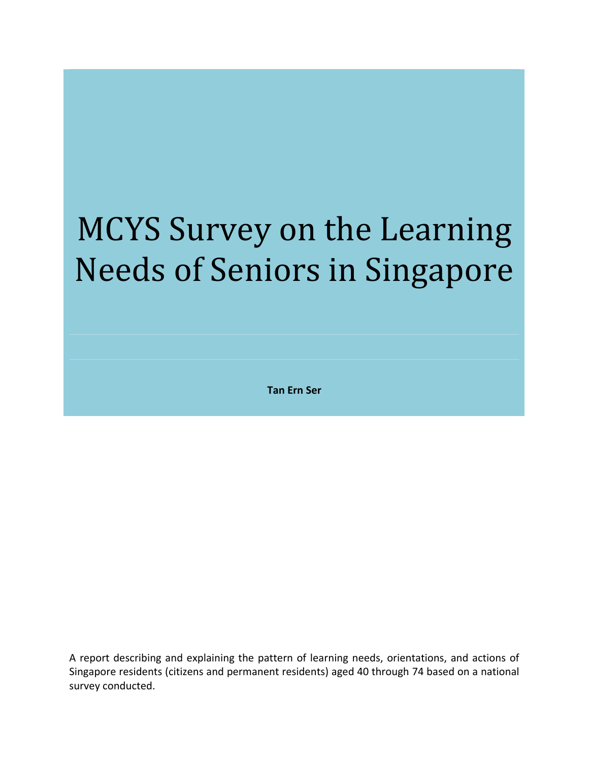# MCYS Survey on the Learning Needs of Seniors in Singapore

**Tan Ern Ser**

A report describing and explaining the pattern of learning needs, orientations, and actions of Singapore residents (citizens and permanent residents) aged 40 through 74 based on a national survey conducted.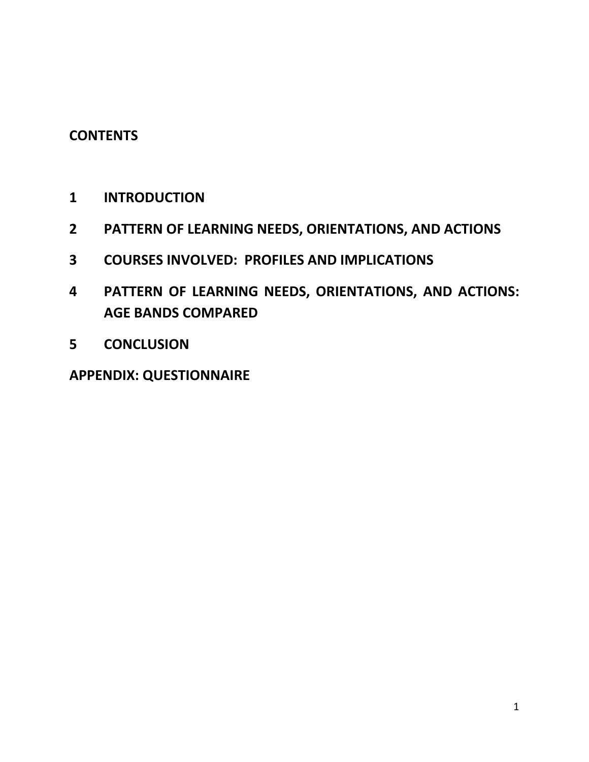# **CONTENTS**

- **INTRODUCTION**
- **PATTERN OF LEARNING NEEDS, ORIENTATIONS, AND ACTIONS**
- **COURSES INVOLVED: PROFILES AND IMPLICATIONS**
- **PATTERN OF LEARNING NEEDS, ORIENTATIONS, AND ACTIONS: AGE BANDS COMPARED**
- **CONCLUSION**

**APPENDIX: QUESTIONNAIRE**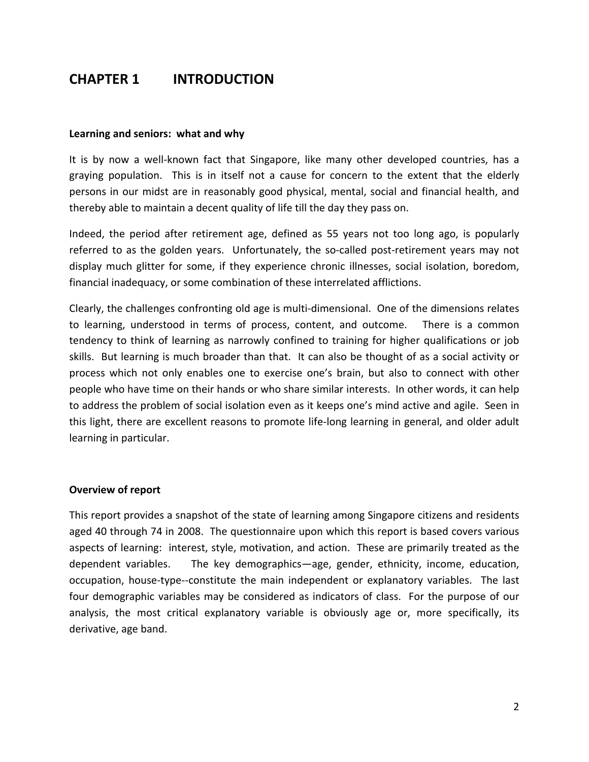# **CHAPTER 1 INTRODUCTION**

#### **Learning and seniors: what and why**

It is by now a well‐known fact that Singapore, like many other developed countries, has a graying population. This is in itself not a cause for concern to the extent that the elderly persons in our midst are in reasonably good physical, mental, social and financial health, and thereby able to maintain a decent quality of life till the day they pass on.

Indeed, the period after retirement age, defined as 55 years not too long ago, is popularly referred to as the golden years. Unfortunately, the so-called post-retirement years may not display much glitter for some, if they experience chronic illnesses, social isolation, boredom, financial inadequacy, or some combination of these interrelated afflictions.

Clearly, the challenges confronting old age is multi‐dimensional. One of the dimensions relates to learning, understood in terms of process, content, and outcome. There is a common tendency to think of learning as narrowly confined to training for higher qualifications or job skills. But learning is much broader than that. It can also be thought of as a social activity or process which not only enables one to exercise one's brain, but also to connect with other people who have time on their hands or who share similar interests. In other words, it can help to address the problem of social isolation even as it keeps one's mind active and agile. Seen in this light, there are excellent reasons to promote life‐long learning in general, and older adult learning in particular.

#### **Overview of report**

This report provides a snapshot of the state of learning among Singapore citizens and residents aged 40 through 74 in 2008. The questionnaire upon which this report is based covers various aspects of learning: interest, style, motivation, and action. These are primarily treated as the dependent variables. The key demographics—age, gender, ethnicity, income, education, occupation, house‐type‐‐constitute the main independent or explanatory variables. The last four demographic variables may be considered as indicators of class. For the purpose of our analysis, the most critical explanatory variable is obviously age or, more specifically, its derivative, age band.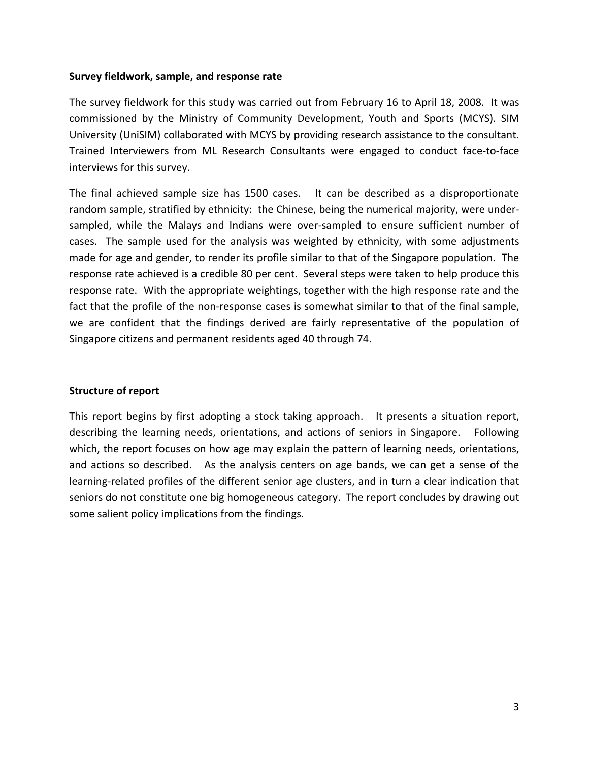#### **Survey fieldwork, sample, and response rate**

The survey fieldwork for this study was carried out from February 16 to April 18, 2008. It was commissioned by the Ministry of Community Development, Youth and Sports (MCYS). SIM University (UniSIM) collaborated with MCYS by providing research assistance to the consultant. Trained Interviewers from ML Research Consultants were engaged to conduct face‐to‐face interviews for this survey.

The final achieved sample size has 1500 cases. It can be described as a disproportionate random sample, stratified by ethnicity: the Chinese, being the numerical majority, were under‐ sampled, while the Malays and Indians were over-sampled to ensure sufficient number of cases. The sample used for the analysis was weighted by ethnicity, with some adjustments made for age and gender, to render its profile similar to that of the Singapore population. The response rate achieved is a credible 80 per cent. Several steps were taken to help produce this response rate. With the appropriate weightings, together with the high response rate and the fact that the profile of the non-response cases is somewhat similar to that of the final sample, we are confident that the findings derived are fairly representative of the population of Singapore citizens and permanent residents aged 40 through 74.

## **Structure of report**

This report begins by first adopting a stock taking approach. It presents a situation report, describing the learning needs, orientations, and actions of seniors in Singapore. Following which, the report focuses on how age may explain the pattern of learning needs, orientations, and actions so described. As the analysis centers on age bands, we can get a sense of the learning‐related profiles of the different senior age clusters, and in turn a clear indication that seniors do not constitute one big homogeneous category. The report concludes by drawing out some salient policy implications from the findings.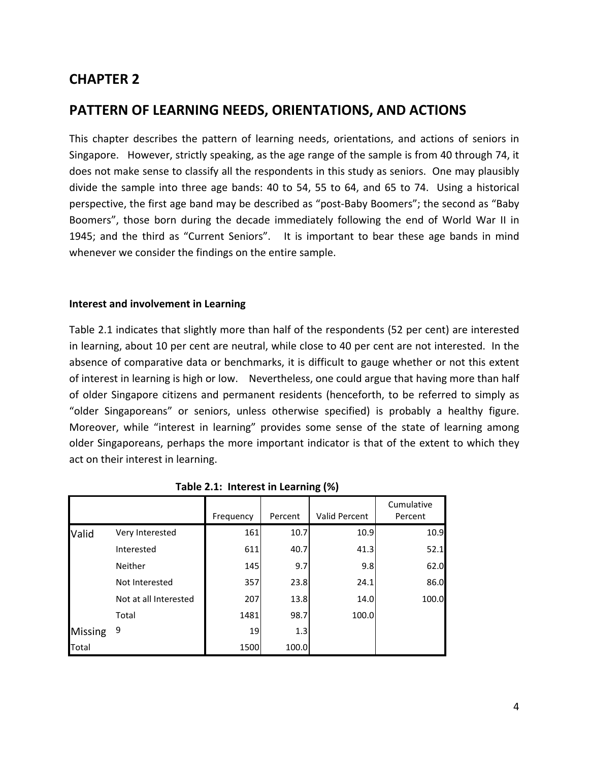# **CHAPTER 2**

# **PATTERN OF LEARNING NEEDS, ORIENTATIONS, AND ACTIONS**

This chapter describes the pattern of learning needs, orientations, and actions of seniors in Singapore. However, strictly speaking, as the age range of the sample is from 40 through 74, it does not make sense to classify all the respondents in this study as seniors. One may plausibly divide the sample into three age bands: 40 to 54, 55 to 64, and 65 to 74. Using a historical perspective, the first age band may be described as "post‐Baby Boomers"; the second as "Baby Boomers", those born during the decade immediately following the end of World War II in 1945; and the third as "Current Seniors". It is important to bear these age bands in mind whenever we consider the findings on the entire sample.

## **Interest and involvement in Learning**

Table 2.1 indicates that slightly more than half of the respondents (52 per cent) are interested in learning, about 10 per cent are neutral, while close to 40 per cent are not interested. In the absence of comparative data or benchmarks, it is difficult to gauge whether or not this extent of interest in learning is high or low. Nevertheless, one could argue that having more than half of older Singapore citizens and permanent residents (henceforth, to be referred to simply as "older Singaporeans" or seniors, unless otherwise specified) is probably a healthy figure. Moreover, while "interest in learning" provides some sense of the state of learning among older Singaporeans, perhaps the more important indicator is that of the extent to which they act on their interest in learning.

|                |                       | Frequency | Percent | Valid Percent | Cumulative<br>Percent |
|----------------|-----------------------|-----------|---------|---------------|-----------------------|
| Valid          | Very Interested       | 161       | 10.7    | 10.9          | 10.9                  |
|                | Interested            | 611       | 40.7    | 41.3          | 52.1                  |
|                | <b>Neither</b>        | 145       | 9.7     | 9.8           | 62.0                  |
|                | Not Interested        | 357       | 23.8    | 24.1          | 86.0                  |
|                | Not at all Interested | 207       | 13.8    | 14.0          | 100.0                 |
|                | Total                 | 1481      | 98.7    | 100.0         |                       |
| <b>Missing</b> | 9                     | 19        | 1.3     |               |                       |
| Total          |                       | 1500      | 100.0   |               |                       |

|  |  |  | Table 2.1: Interest in Learning (%) |  |
|--|--|--|-------------------------------------|--|
|--|--|--|-------------------------------------|--|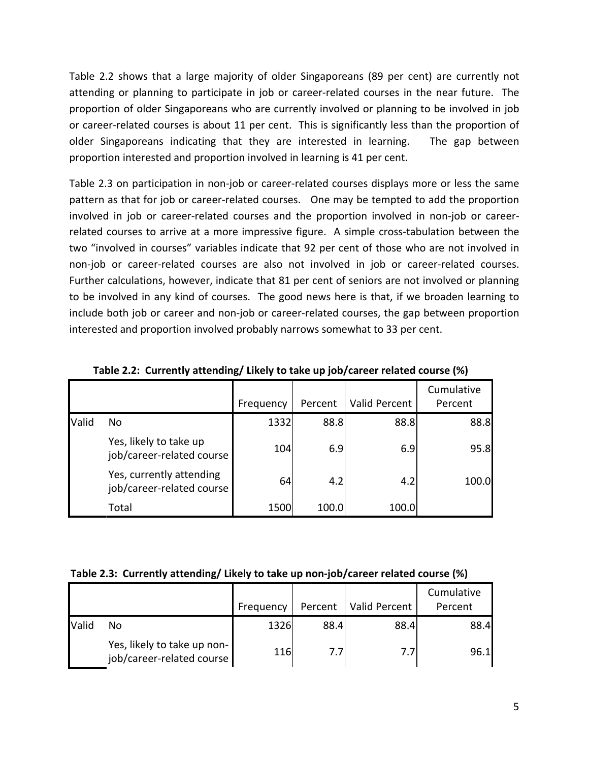Table 2.2 shows that a large majority of older Singaporeans (89 per cent) are currently not attending or planning to participate in job or career-related courses in the near future. The proportion of older Singaporeans who are currently involved or planning to be involved in job or career‐related courses is about 11 per cent. This is significantly less than the proportion of older Singaporeans indicating that they are interested in learning. The gap between proportion interested and proportion involved in learning is 41 per cent.

Table 2.3 on participation in non-job or career-related courses displays more or less the same pattern as that for job or career‐related courses. One may be tempted to add the proportion involved in job or career-related courses and the proportion involved in non-job or careerrelated courses to arrive at a more impressive figure. A simple cross-tabulation between the two "involved in courses" variables indicate that 92 per cent of those who are not involved in non‐job or career‐related courses are also not involved in job or career‐related courses. Further calculations, however, indicate that 81 per cent of seniors are not involved or planning to be involved in any kind of courses. The good news here is that, if we broaden learning to include both job or career and non‐job or career‐related courses, the gap between proportion interested and proportion involved probably narrows somewhat to 33 per cent.

|       |                                                       | Frequency | Percent | Valid Percent | Cumulative<br>Percent |
|-------|-------------------------------------------------------|-----------|---------|---------------|-----------------------|
| Valid | No.                                                   | 1332      | 88.8    | 88.8          | 88.8                  |
|       | Yes, likely to take up<br>job/career-related course   | 104       | 6.9     | 6.9           | 95.8                  |
|       | Yes, currently attending<br>job/career-related course | 64        | 4.2     | 4.2           | 100.0                 |
|       | Total                                                 | 1500      | 100.0   | 100.0         |                       |

**Table 2.2: Currently attending/ Likely to take up job/career related course (%)**

## **Table 2.3: Currently attending/ Likely to take up non‐job/career related course (%)**

|              |                                                          | Frequency |      | Percent   Valid Percent | Cumulative<br>Percent |
|--------------|----------------------------------------------------------|-----------|------|-------------------------|-----------------------|
| <b>Valid</b> | No                                                       | 1326      | 88.4 | 88.4                    | 88.4                  |
|              | Yes, likely to take up non-<br>job/career-related course | 116       | 7.7  | 7.7                     | 96.1                  |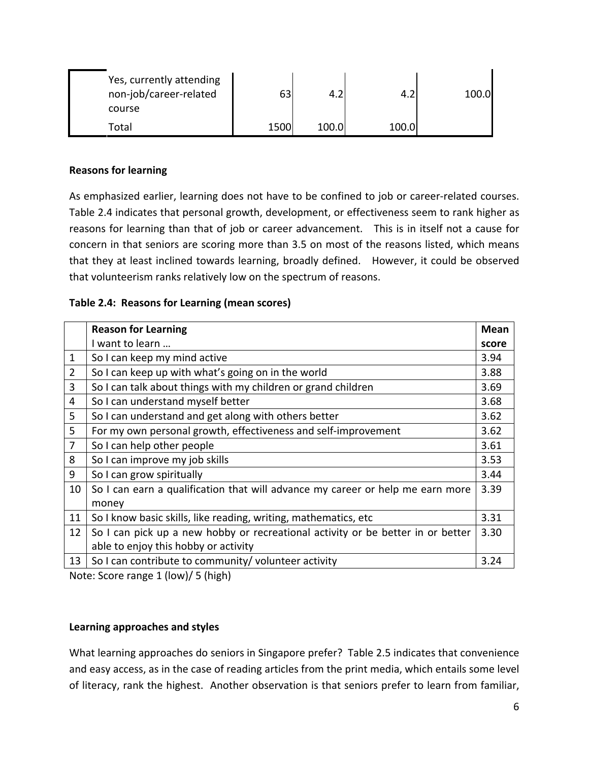| Yes, currently attending<br>non-job/career-related<br>course | 63   |       |       | 100.0 |
|--------------------------------------------------------------|------|-------|-------|-------|
| Total                                                        | 1500 | 100.0 | 100.0 |       |

# **Reasons for learning**

As emphasized earlier, learning does not have to be confined to job or career-related courses. Table 2.4 indicates that personal growth, development, or effectiveness seem to rank higher as reasons for learning than that of job or career advancement. This is in itself not a cause for concern in that seniors are scoring more than 3.5 on most of the reasons listed, which means that they at least inclined towards learning, broadly defined. However, it could be observed that volunteerism ranks relatively low on the spectrum of reasons.

# **Table 2.4: Reasons for Learning (mean scores)**

|                | <b>Reason for Learning</b>                                                      | <b>Mean</b> |
|----------------|---------------------------------------------------------------------------------|-------------|
|                | I want to learn                                                                 | score       |
| 1              | So I can keep my mind active                                                    | 3.94        |
| $\overline{2}$ | So I can keep up with what's going on in the world                              | 3.88        |
| 3              | So I can talk about things with my children or grand children                   | 3.69        |
| 4              | So I can understand myself better                                               | 3.68        |
| 5              | So I can understand and get along with others better                            | 3.62        |
| 5              | For my own personal growth, effectiveness and self-improvement                  | 3.62        |
| 7              | So I can help other people                                                      | 3.61        |
| 8              | So I can improve my job skills                                                  | 3.53        |
| 9              | So I can grow spiritually                                                       | 3.44        |
| 10             | So I can earn a qualification that will advance my career or help me earn more  | 3.39        |
|                | money                                                                           |             |
| 11             | So I know basic skills, like reading, writing, mathematics, etc                 | 3.31        |
| 12             | So I can pick up a new hobby or recreational activity or be better in or better | 3.30        |
|                | able to enjoy this hobby or activity                                            |             |
| 13             | So I can contribute to community/volunteer activity                             | 3.24        |

Note: Score range 1 (low)/ 5 (high)

# **Learning approaches and styles**

What learning approaches do seniors in Singapore prefer? Table 2.5 indicates that convenience and easy access, as in the case of reading articles from the print media, which entails some level of literacy, rank the highest. Another observation is that seniors prefer to learn from familiar,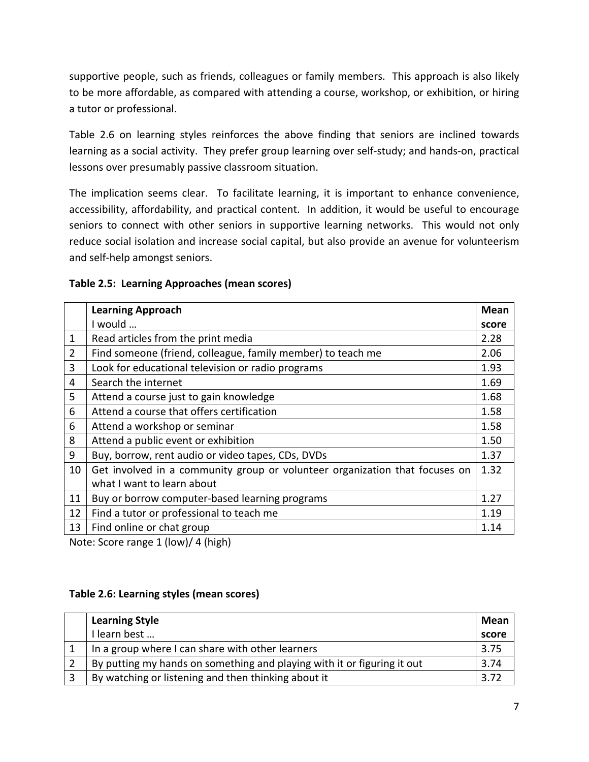supportive people, such as friends, colleagues or family members. This approach is also likely to be more affordable, as compared with attending a course, workshop, or exhibition, or hiring a tutor or professional.

Table 2.6 on learning styles reinforces the above finding that seniors are inclined towards learning as a social activity. They prefer group learning over self-study; and hands-on, practical lessons over presumably passive classroom situation.

The implication seems clear. To facilitate learning, it is important to enhance convenience, accessibility, affordability, and practical content. In addition, it would be useful to encourage seniors to connect with other seniors in supportive learning networks. This would not only reduce social isolation and increase social capital, but also provide an avenue for volunteerism and self‐help amongst seniors.

# **Table 2.5: Learning Approaches (mean scores)**

|    | <b>Learning Approach</b>                                                    | <b>Mean</b> |
|----|-----------------------------------------------------------------------------|-------------|
|    | I would                                                                     | score       |
| 1  | Read articles from the print media                                          | 2.28        |
| 2  | Find someone (friend, colleague, family member) to teach me                 | 2.06        |
| 3  | Look for educational television or radio programs                           | 1.93        |
| 4  | Search the internet                                                         | 1.69        |
| 5  | Attend a course just to gain knowledge                                      | 1.68        |
| 6  | Attend a course that offers certification                                   | 1.58        |
| 6  | Attend a workshop or seminar                                                | 1.58        |
| 8  | Attend a public event or exhibition                                         | 1.50        |
| 9  | Buy, borrow, rent audio or video tapes, CDs, DVDs                           | 1.37        |
| 10 | Get involved in a community group or volunteer organization that focuses on | 1.32        |
|    | what I want to learn about                                                  |             |
| 11 | Buy or borrow computer-based learning programs                              | 1.27        |
| 12 | Find a tutor or professional to teach me                                    | 1.19        |
| 13 | Find online or chat group                                                   | 1.14        |

Note: Score range 1 (low)/ 4 (high)

## **Table 2.6: Learning styles (mean scores)**

| <b>Learning Style</b>                                                   | Mean  |
|-------------------------------------------------------------------------|-------|
| I learn best                                                            | score |
| In a group where I can share with other learners                        | 3.75  |
| By putting my hands on something and playing with it or figuring it out | 3.74  |
| By watching or listening and then thinking about it                     |       |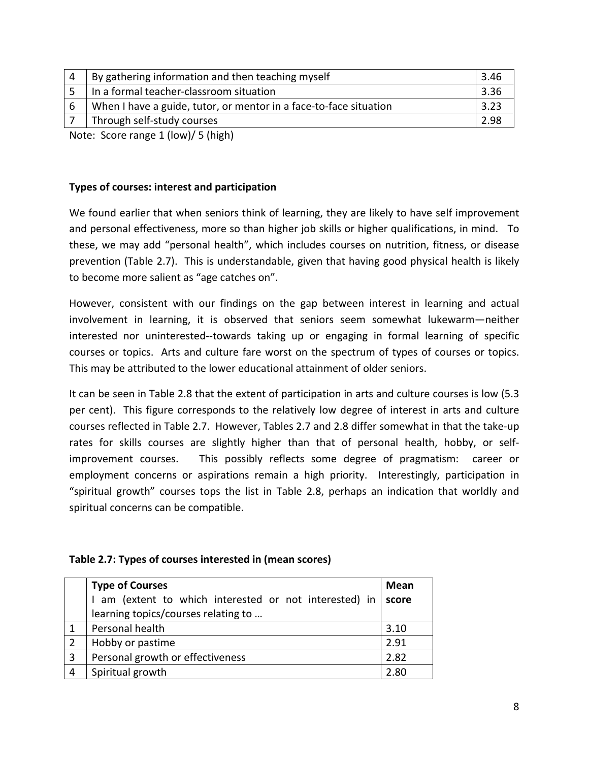| $\overline{4}$ | By gathering information and then teaching myself                 | 3.46 |
|----------------|-------------------------------------------------------------------|------|
|                | In a formal teacher-classroom situation                           | 3.36 |
| 6              | When I have a guide, tutor, or mentor in a face-to-face situation | 3.23 |
|                | Through self-study courses                                        | 2.98 |
|                | $\cdots$ $\cdots$ $\cdots$ $\cdots$ $\cdots$ $\cdots$             |      |

Note: Score range 1 (low)/ 5 (high)

# **Types of courses: interest and participation**

We found earlier that when seniors think of learning, they are likely to have self improvement and personal effectiveness, more so than higher job skills or higher qualifications, in mind. To these, we may add "personal health", which includes courses on nutrition, fitness, or disease prevention (Table 2.7). This is understandable, given that having good physical health is likely to become more salient as "age catches on".

However, consistent with our findings on the gap between interest in learning and actual involvement in learning, it is observed that seniors seem somewhat lukewarm—neither interested nor uninterested‐‐towards taking up or engaging in formal learning of specific courses or topics. Arts and culture fare worst on the spectrum of types of courses or topics. This may be attributed to the lower educational attainment of older seniors.

It can be seen in Table 2.8 that the extent of participation in arts and culture courses is low (5.3 per cent). This figure corresponds to the relatively low degree of interest in arts and culture courses reflected in Table 2.7. However, Tables 2.7 and 2.8 differ somewhat in that the take‐up rates for skills courses are slightly higher than that of personal health, hobby, or self‐ improvement courses. This possibly reflects some degree of pragmatism: career or employment concerns or aspirations remain a high priority. Interestingly, participation in "spiritual growth" courses tops the list in Table 2.8, perhaps an indication that worldly and spiritual concerns can be compatible.

## **Table 2.7: Types of courses interested in (mean scores)**

|   | <b>Type of Courses</b>                               | Mean  |
|---|------------------------------------------------------|-------|
|   | am (extent to which interested or not interested) in | score |
|   | learning topics/courses relating to                  |       |
|   | Personal health                                      | 3.10  |
|   | Hobby or pastime                                     | 2.91  |
| 3 | Personal growth or effectiveness                     | 2.82  |
|   | Spiritual growth                                     | 2.80  |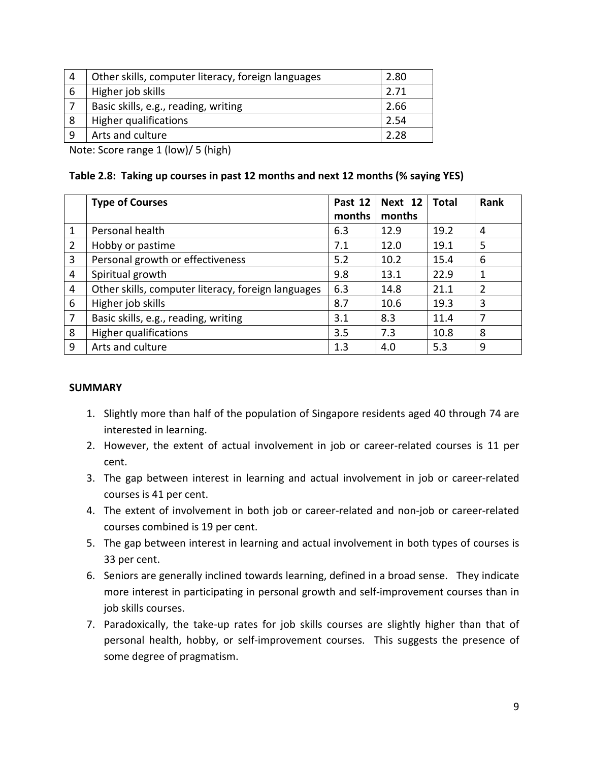| 4 | Other skills, computer literacy, foreign languages | 2.80 |
|---|----------------------------------------------------|------|
| 6 | Higher job skills                                  | 2.71 |
|   | Basic skills, e.g., reading, writing               | 2.66 |
| 8 | Higher qualifications                              | 2.54 |
| a | Arts and culture                                   | 228  |

Note: Score range 1 (low)/ 5 (high)

# **Table 2.8: Taking up courses in past 12 months and next 12 months (% saying YES)**

|                | <b>Type of Courses</b>                             | Past 12 | Next $12$ | Total | Rank           |
|----------------|----------------------------------------------------|---------|-----------|-------|----------------|
|                |                                                    | months  | months    |       |                |
| 1              | Personal health                                    | 6.3     | 12.9      | 19.2  | 4              |
| 2              | Hobby or pastime                                   | 7.1     | 12.0      | 19.1  | 5              |
| 3              | Personal growth or effectiveness                   | 5.2     | 10.2      | 15.4  | 6              |
| 4              | Spiritual growth                                   | 9.8     | 13.1      | 22.9  | 1              |
| 4              | Other skills, computer literacy, foreign languages | 6.3     | 14.8      | 21.1  | $\overline{2}$ |
| 6              | Higher job skills                                  | 8.7     | 10.6      | 19.3  | 3              |
| $\overline{7}$ | Basic skills, e.g., reading, writing               | 3.1     | 8.3       | 11.4  | 7              |
| 8              | Higher qualifications                              | 3.5     | 7.3       | 10.8  | 8              |
| 9              | Arts and culture                                   | 1.3     | 4.0       | 5.3   | 9              |

## **SUMMARY**

- 1. Slightly more than half of the population of Singapore residents aged 40 through 74 are interested in learning.
- 2. However, the extent of actual involvement in job or career-related courses is 11 per cent.
- 3. The gap between interest in learning and actual involvement in job or career‐related courses is 41 per cent.
- 4. The extent of involvement in both job or career-related and non-job or career-related courses combined is 19 per cent.
- 5. The gap between interest in learning and actual involvement in both types of courses is 33 per cent.
- 6. Seniors are generally inclined towards learning, defined in a broad sense. They indicate more interest in participating in personal growth and self‐improvement courses than in job skills courses.
- 7. Paradoxically, the take‐up rates for job skills courses are slightly higher than that of personal health, hobby, or self-improvement courses. This suggests the presence of some degree of pragmatism.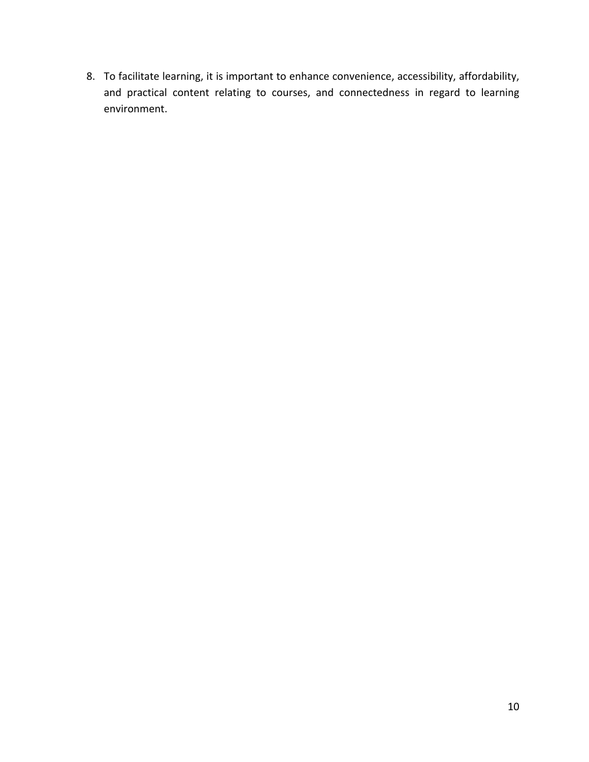8. To facilitate learning, it is important to enhance convenience, accessibility, affordability, and practical content relating to courses, and connectedness in regard to learning environment.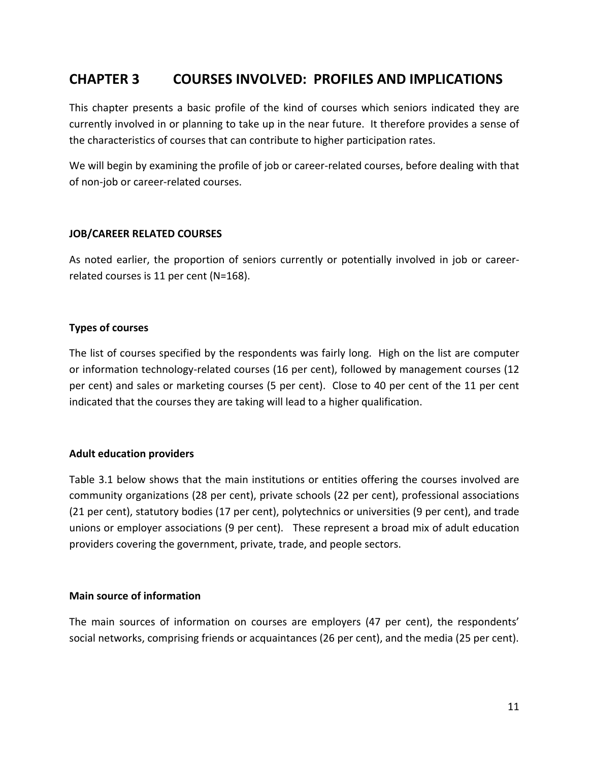# **CHAPTER 3 COURSES INVOLVED: PROFILES AND IMPLICATIONS**

This chapter presents a basic profile of the kind of courses which seniors indicated they are currently involved in or planning to take up in the near future. It therefore provides a sense of the characteristics of courses that can contribute to higher participation rates.

We will begin by examining the profile of job or career-related courses, before dealing with that of non‐job or career‐related courses.

## **JOB/CAREER RELATED COURSES**

As noted earlier, the proportion of seniors currently or potentially involved in job or career‐ related courses is 11 per cent (N=168).

## **Types of courses**

The list of courses specified by the respondents was fairly long. High on the list are computer or information technology‐related courses (16 per cent), followed by management courses (12 per cent) and sales or marketing courses (5 per cent). Close to 40 per cent of the 11 per cent indicated that the courses they are taking will lead to a higher qualification.

## **Adult education providers**

Table 3.1 below shows that the main institutions or entities offering the courses involved are community organizations (28 per cent), private schools (22 per cent), professional associations (21 per cent), statutory bodies (17 per cent), polytechnics or universities (9 per cent), and trade unions or employer associations (9 per cent). These represent a broad mix of adult education providers covering the government, private, trade, and people sectors.

## **Main source of information**

The main sources of information on courses are employers (47 per cent), the respondents' social networks, comprising friends or acquaintances (26 per cent), and the media (25 per cent).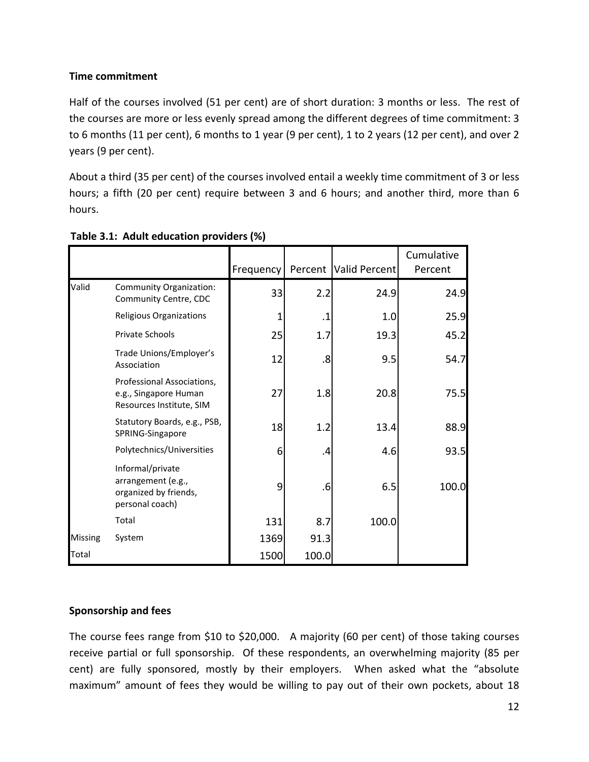# **Time commitment**

Half of the courses involved (51 per cent) are of short duration: 3 months or less. The rest of the courses are more or less evenly spread among the different degrees of time commitment: 3 to 6 months (11 per cent), 6 months to 1 year (9 per cent), 1 to 2 years (12 per cent), and over 2 years (9 per cent).

About a third (35 per cent) of the courses involved entail a weekly time commitment of 3 or less hours; a fifth (20 per cent) require between 3 and 6 hours; and another third, more than 6 hours.

|                |                                                                                    | Frequency |           | Percent   Valid Percent | Cumulative<br>Percent |
|----------------|------------------------------------------------------------------------------------|-----------|-----------|-------------------------|-----------------------|
| Valid          | Community Organization:<br>Community Centre, CDC                                   | 33        | 2.2       | 24.9                    | 24.9                  |
|                | <b>Religious Organizations</b>                                                     | 1         | $\cdot$ 1 | 1.0                     | 25.9                  |
|                | <b>Private Schools</b>                                                             | 25        | 1.7       | 19.3                    | 45.2                  |
|                | Trade Unions/Employer's<br>Association                                             | 12        | .8        | 9.5                     | 54.7                  |
|                | Professional Associations,<br>e.g., Singapore Human<br>Resources Institute, SIM    | 27        | 1.8       | 20.8                    | 75.5                  |
|                | Statutory Boards, e.g., PSB,<br>SPRING-Singapore                                   | 18        | 1.2       | 13.4                    | 88.9                  |
|                | Polytechnics/Universities                                                          | 6         | .4        | 4.6                     | 93.5                  |
|                | Informal/private<br>arrangement (e.g.,<br>organized by friends,<br>personal coach) | 9         | .6        | 6.5                     | 100.0                 |
|                | Total                                                                              | 131       | 8.7       | 100.0                   |                       |
| <b>Missing</b> | System                                                                             | 1369      | 91.3      |                         |                       |
| <b>Total</b>   |                                                                                    | 1500      | 100.0     |                         |                       |

# **Table 3.1: Adult education providers (%)**

# **Sponsorship and fees**

The course fees range from \$10 to \$20,000. A majority (60 per cent) of those taking courses receive partial or full sponsorship. Of these respondents, an overwhelming majority (85 per cent) are fully sponsored, mostly by their employers. When asked what the "absolute maximum" amount of fees they would be willing to pay out of their own pockets, about 18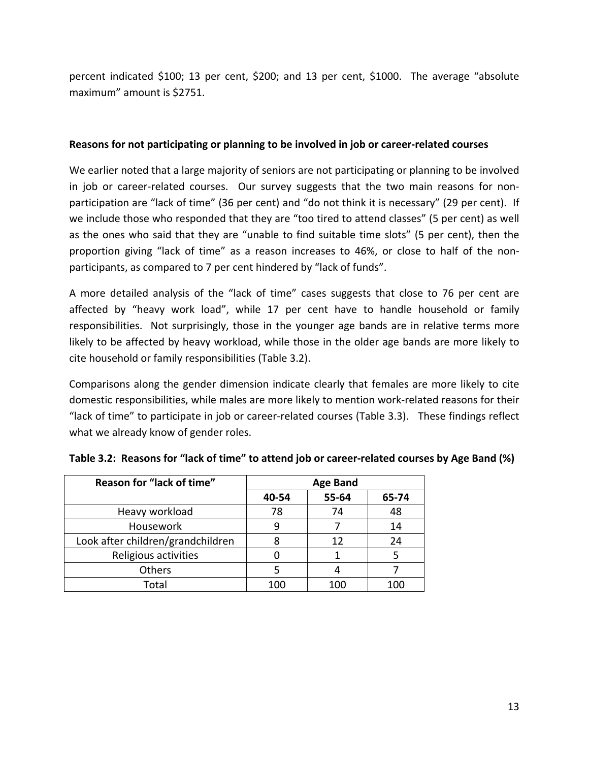percent indicated \$100; 13 per cent, \$200; and 13 per cent, \$1000. The average "absolute maximum" amount is \$2751.

## **Reasons for not participating or planning to be involved in job or career‐related courses**

We earlier noted that a large majority of seniors are not participating or planning to be involved in job or career-related courses. Our survey suggests that the two main reasons for nonparticipation are "lack of time" (36 per cent) and "do not think it is necessary" (29 per cent). If we include those who responded that they are "too tired to attend classes" (5 per cent) as well as the ones who said that they are "unable to find suitable time slots" (5 per cent), then the proportion giving "lack of time" as a reason increases to 46%, or close to half of the non‐ participants, as compared to 7 per cent hindered by "lack of funds".

A more detailed analysis of the "lack of time" cases suggests that close to 76 per cent are affected by "heavy work load", while 17 per cent have to handle household or family responsibilities. Not surprisingly, those in the younger age bands are in relative terms more likely to be affected by heavy workload, while those in the older age bands are more likely to cite household or family responsibilities (Table 3.2).

Comparisons along the gender dimension indicate clearly that females are more likely to cite domestic responsibilities, while males are more likely to mention work‐related reasons for their "lack of time" to participate in job or career‐related courses (Table 3.3). These findings reflect what we already know of gender roles.

| Reason for "lack of time"         | <b>Age Band</b> |       |       |
|-----------------------------------|-----------------|-------|-------|
|                                   | 40-54           | 55-64 | 65-74 |
| Heavy workload                    | 78              | 74    | 48    |
| Housework                         | 9               |       | 14    |
| Look after children/grandchildren | 8               | 12    | 24    |
| Religious activities              |                 |       |       |
| Others                            |                 |       |       |
| Total                             | 100             | 100   |       |

Table 3.2: Reasons for "lack of time" to attend job or career-related courses by Age Band (%)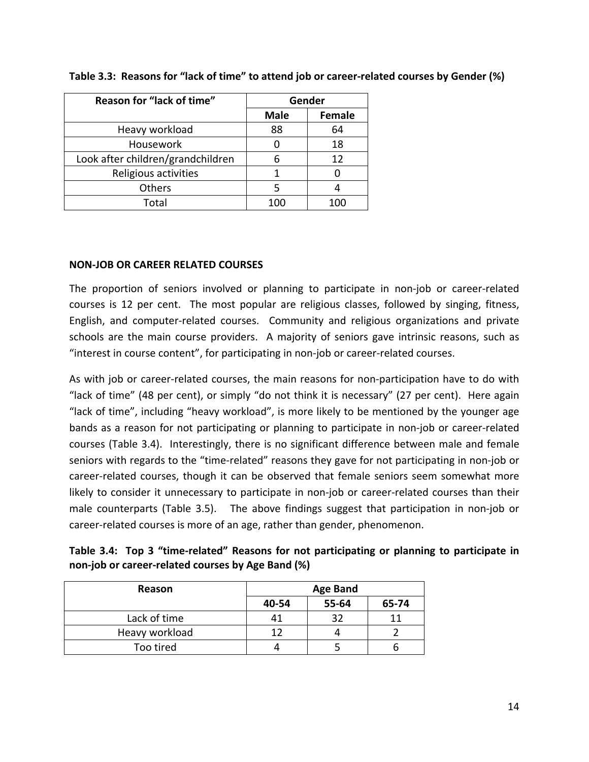| Reason for "lack of time"         | Gender      |               |
|-----------------------------------|-------------|---------------|
|                                   | <b>Male</b> | <b>Female</b> |
| Heavy workload                    | 88          | 64            |
| Housework                         |             | 18            |
| Look after children/grandchildren | 6           | 12            |
| Religious activities              |             |               |
| Others                            | 5           |               |
| Total                             | 100         | 100           |

# Table 3.3: Reasons for "lack of time" to attend job or career-related courses by Gender (%)

# **NON‐JOB OR CAREER RELATED COURSES**

The proportion of seniors involved or planning to participate in non-job or career-related courses is 12 per cent. The most popular are religious classes, followed by singing, fitness, English, and computer-related courses. Community and religious organizations and private schools are the main course providers. A majority of seniors gave intrinsic reasons, such as "interest in course content", for participating in non‐job or career‐related courses.

As with job or career-related courses, the main reasons for non-participation have to do with "lack of time" (48 per cent), or simply "do not think it is necessary" (27 per cent). Here again "lack of time", including "heavy workload", is more likely to be mentioned by the younger age bands as a reason for not participating or planning to participate in non‐job or career‐related courses (Table 3.4). Interestingly, there is no significant difference between male and female seniors with regards to the "time-related" reasons they gave for not participating in non-job or career-related courses, though it can be observed that female seniors seem somewhat more likely to consider it unnecessary to participate in non‐job or career‐related courses than their male counterparts (Table 3.5). The above findings suggest that participation in non-job or career‐related courses is more of an age, rather than gender, phenomenon.

| Table 3.4: Top 3 "time-related" Reasons for not participating or planning to participate in |  |  |
|---------------------------------------------------------------------------------------------|--|--|
| non-job or career-related courses by Age Band (%)                                           |  |  |

| Reason         | <b>Age Band</b> |       |       |
|----------------|-----------------|-------|-------|
|                | 40-54           | 55-64 | 65-74 |
| Lack of time   |                 | 32    |       |
| Heavy workload | 17              |       |       |
| Too tired      |                 |       |       |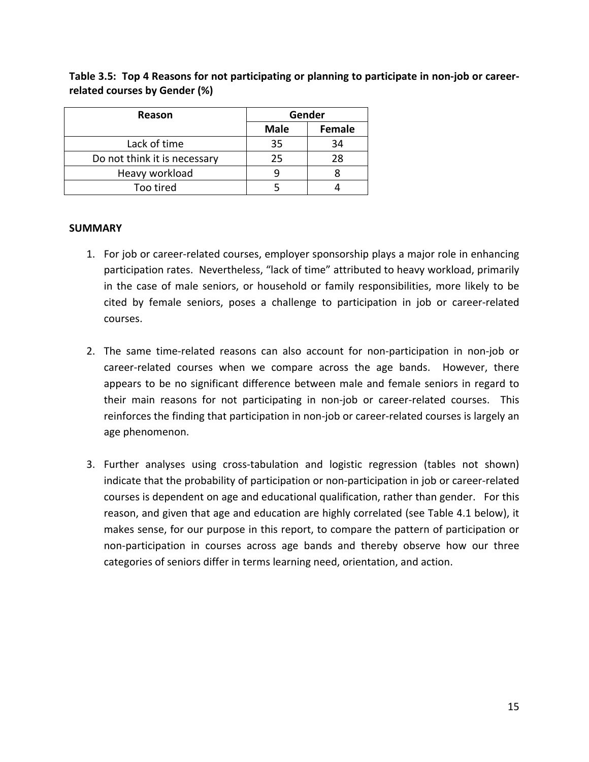| Reason                       | Gender      |               |
|------------------------------|-------------|---------------|
|                              | <b>Male</b> | <b>Female</b> |
| Lack of time                 | 35          | 34            |
| Do not think it is necessary | 25          | 28            |
| Heavy workload               |             |               |
| Too tired                    |             |               |

Table 3.5: Top 4 Reasons for not participating or planning to participate in non-job or career**related courses by Gender (%)**

# **SUMMARY**

- 1. For job or career‐related courses, employer sponsorship plays a major role in enhancing participation rates. Nevertheless, "lack of time" attributed to heavy workload, primarily in the case of male seniors, or household or family responsibilities, more likely to be cited by female seniors, poses a challenge to participation in job or career‐related courses.
- 2. The same time‐related reasons can also account for non‐participation in non‐job or career-related courses when we compare across the age bands. However, there appears to be no significant difference between male and female seniors in regard to their main reasons for not participating in non‐job or career‐related courses. This reinforces the finding that participation in non‐job or career‐related courses is largely an age phenomenon.
- 3. Further analyses using cross‐tabulation and logistic regression (tables not shown) indicate that the probability of participation or non-participation in job or career-related courses is dependent on age and educational qualification, rather than gender. For this reason, and given that age and education are highly correlated (see Table 4.1 below), it makes sense, for our purpose in this report, to compare the pattern of participation or non‐participation in courses across age bands and thereby observe how our three categories of seniors differ in terms learning need, orientation, and action.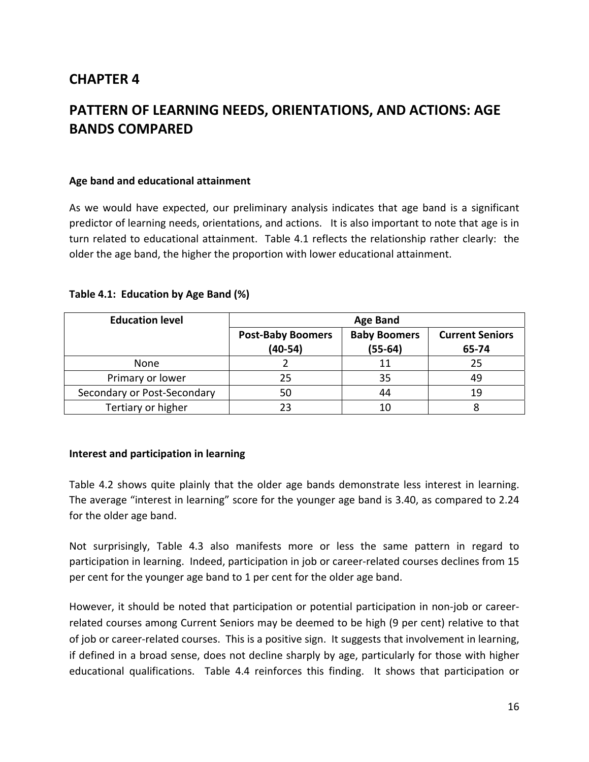# **CHAPTER 4**

# **PATTERN OF LEARNING NEEDS, ORIENTATIONS, AND ACTIONS: AGE BANDS COMPARED**

#### **Age band and educational attainment**

As we would have expected, our preliminary analysis indicates that age band is a significant predictor of learning needs, orientations, and actions. It is also important to note that age is in turn related to educational attainment. Table 4.1 reflects the relationship rather clearly: the older the age band, the higher the proportion with lower educational attainment.

|  | Table 4.1: Education by Age Band (%) |  |  |  |  |
|--|--------------------------------------|--|--|--|--|
|--|--------------------------------------|--|--|--|--|

| <b>Education level</b>      | <b>Age Band</b>                       |                                  |                                 |  |
|-----------------------------|---------------------------------------|----------------------------------|---------------------------------|--|
|                             | <b>Post-Baby Boomers</b><br>$(40-54)$ | <b>Baby Boomers</b><br>$(55-64)$ | <b>Current Seniors</b><br>65-74 |  |
| None                        |                                       | 11                               | 25                              |  |
| Primary or lower            | 25                                    | 35                               |                                 |  |
| Secondary or Post-Secondary | 50                                    | 44                               | 19                              |  |
| Tertiary or higher          | フ3                                    | 10                               |                                 |  |

## **Interest and participation in learning**

Table 4.2 shows quite plainly that the older age bands demonstrate less interest in learning. The average "interest in learning" score for the younger age band is 3.40, as compared to 2.24 for the older age band.

Not surprisingly, Table 4.3 also manifests more or less the same pattern in regard to participation in learning. Indeed, participation in job or career-related courses declines from 15 per cent for the younger age band to 1 per cent for the older age band.

However, it should be noted that participation or potential participation in non‐job or career‐ related courses among Current Seniors may be deemed to be high (9 per cent) relative to that of job or career‐related courses. This is a positive sign. It suggests that involvement in learning, if defined in a broad sense, does not decline sharply by age, particularly for those with higher educational qualifications. Table 4.4 reinforces this finding. It shows that participation or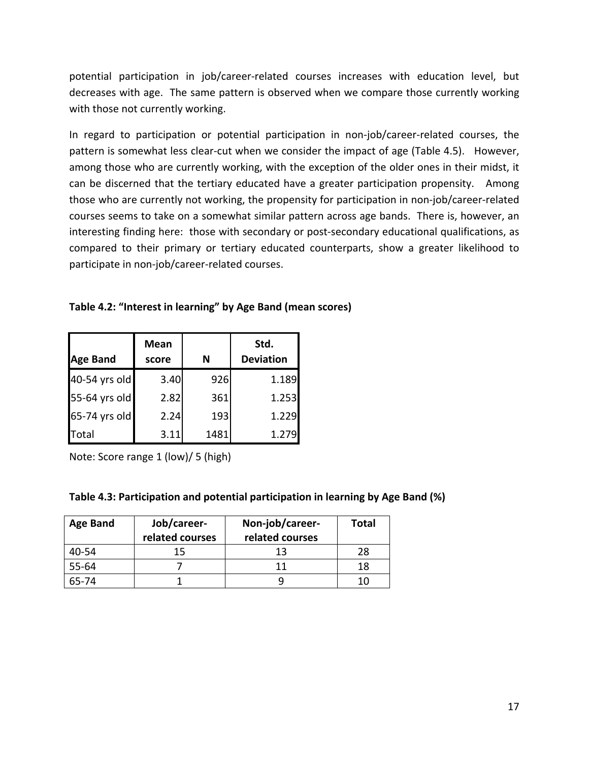potential participation in job/career‐related courses increases with education level, but decreases with age. The same pattern is observed when we compare those currently working with those not currently working.

In regard to participation or potential participation in non‐job/career‐related courses, the pattern is somewhat less clear-cut when we consider the impact of age (Table 4.5). However, among those who are currently working, with the exception of the older ones in their midst, it can be discerned that the tertiary educated have a greater participation propensity. Among those who are currently not working, the propensity for participation in non‐job/career‐related courses seems to take on a somewhat similar pattern across age bands. There is, however, an interesting finding here: those with secondary or post-secondary educational qualifications, as compared to their primary or tertiary educated counterparts, show a greater likelihood to participate in non‐job/career‐related courses.

| Table 4.2: "Interest in learning" by Age Band (mean scores) |  |
|-------------------------------------------------------------|--|
|-------------------------------------------------------------|--|

|                 | <b>Mean</b> |      | Std.             |
|-----------------|-------------|------|------------------|
| <b>Age Band</b> | score       | N    | <b>Deviation</b> |
| 40-54 yrs old   | 3.40        | 926  | 1.189            |
| 55-64 yrs old   | 2.82        | 361  | 1.253            |
| 65-74 yrs old   | 2.24        | 193  | 1.229            |
| Total           | 3.11        | 1481 | 1.279            |

Note: Score range 1 (low)/ 5 (high)

| Table 4.3: Participation and potential participation in learning by Age Band (%) |  |  |  |  |  |
|----------------------------------------------------------------------------------|--|--|--|--|--|
|----------------------------------------------------------------------------------|--|--|--|--|--|

| <b>Age Band</b> | Job/career-<br>related courses | Non-job/career-<br>related courses | <b>Total</b> |
|-----------------|--------------------------------|------------------------------------|--------------|
| 40-54           | 15                             | 13                                 | 28           |
| 55-64           |                                |                                    | 18           |
| 65-74           |                                |                                    | 10           |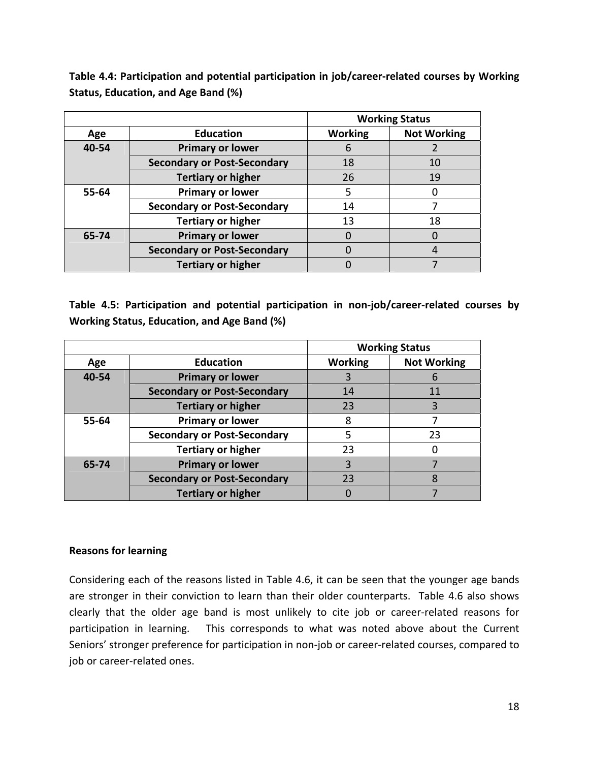**Table 4.4: Participation and potential participation in job/career‐related courses by Working Status, Education, and Age Band (%)**

|       |                                    | <b>Working Status</b> |                    |  |
|-------|------------------------------------|-----------------------|--------------------|--|
| Age   | <b>Education</b>                   | <b>Working</b>        | <b>Not Working</b> |  |
| 40-54 | <b>Primary or lower</b>            |                       |                    |  |
|       | <b>Secondary or Post-Secondary</b> | 18                    | 10                 |  |
|       | <b>Tertiary or higher</b>          | 26                    | 19                 |  |
| 55-64 | <b>Primary or lower</b>            | 5                     | $\Box$             |  |
|       | <b>Secondary or Post-Secondary</b> | 14                    |                    |  |
|       | <b>Tertiary or higher</b>          | 13                    | 18                 |  |
| 65-74 | <b>Primary or lower</b>            |                       |                    |  |
|       | <b>Secondary or Post-Secondary</b> |                       | 4                  |  |
|       | <b>Tertiary or higher</b>          |                       |                    |  |

**Table 4.5: Participation and potential participation in non‐job/career‐related courses by Working Status, Education, and Age Band (%)**

|       |                                    | <b>Working Status</b>                |    |  |
|-------|------------------------------------|--------------------------------------|----|--|
| Age   | <b>Education</b>                   | <b>Working</b><br><b>Not Working</b> |    |  |
| 40-54 | Primary or lower                   |                                      | 6  |  |
|       | <b>Secondary or Post-Secondary</b> | 14                                   | 11 |  |
|       | <b>Tertiary or higher</b>          | 23                                   | 3  |  |
| 55-64 | <b>Primary or lower</b>            | 8                                    |    |  |
|       | <b>Secondary or Post-Secondary</b> | 5                                    | 23 |  |
|       | <b>Tertiary or higher</b>          | 23                                   | 0  |  |
| 65-74 | <b>Primary or lower</b>            | 3                                    |    |  |
|       | <b>Secondary or Post-Secondary</b> | 23                                   | 8  |  |
|       | <b>Tertiary or higher</b>          |                                      |    |  |

# **Reasons for learning**

Considering each of the reasons listed in Table 4.6, it can be seen that the younger age bands are stronger in their conviction to learn than their older counterparts. Table 4.6 also shows clearly that the older age band is most unlikely to cite job or career‐related reasons for participation in learning. This corresponds to what was noted above about the Current Seniors' stronger preference for participation in non‐job or career‐related courses, compared to job or career‐related ones.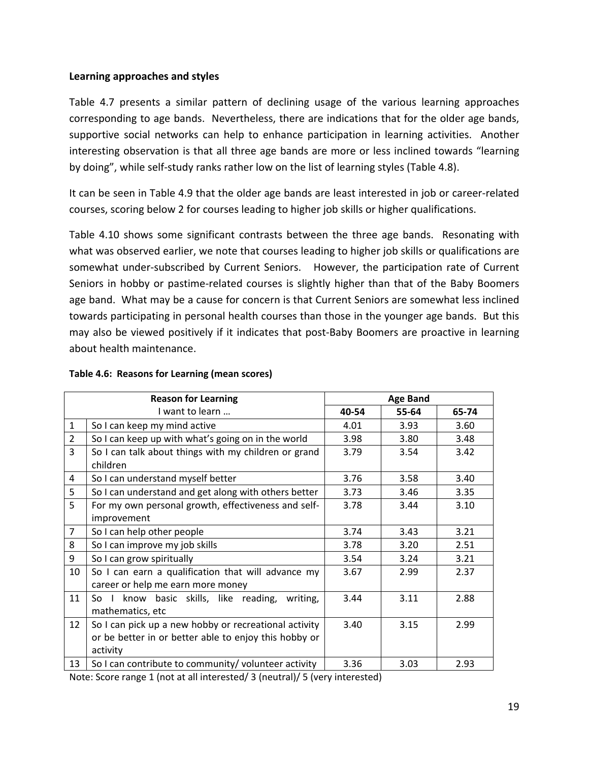# **Learning approaches and styles**

Table 4.7 presents a similar pattern of declining usage of the various learning approaches corresponding to age bands. Nevertheless, there are indications that for the older age bands, supportive social networks can help to enhance participation in learning activities. Another interesting observation is that all three age bands are more or less inclined towards "learning by doing", while self‐study ranks rather low on the list of learning styles (Table 4.8).

It can be seen in Table 4.9 that the older age bands are least interested in job or career‐related courses, scoring below 2 for courses leading to higher job skills or higher qualifications.

Table 4.10 shows some significant contrasts between the three age bands. Resonating with what was observed earlier, we note that courses leading to higher job skills or qualifications are somewhat under-subscribed by Current Seniors. However, the participation rate of Current Seniors in hobby or pastime‐related courses is slightly higher than that of the Baby Boomers age band. What may be a cause for concern is that Current Seniors are somewhat less inclined towards participating in personal health courses than those in the younger age bands. But this may also be viewed positively if it indicates that post‐Baby Boomers are proactive in learning about health maintenance.

|                 | <b>Reason for Learning</b>                                                                                                 | <b>Age Band</b> |       |       |
|-----------------|----------------------------------------------------------------------------------------------------------------------------|-----------------|-------|-------|
|                 | I want to learn                                                                                                            | 40-54           | 55-64 | 65-74 |
| $\mathbf{1}$    | So I can keep my mind active                                                                                               | 4.01            | 3.93  | 3.60  |
| $\overline{2}$  | So I can keep up with what's going on in the world                                                                         | 3.98            | 3.80  | 3.48  |
| 3               | So I can talk about things with my children or grand<br>children                                                           | 3.79            | 3.54  | 3.42  |
| 4               | So I can understand myself better                                                                                          | 3.76            | 3.58  | 3.40  |
| 5               | So I can understand and get along with others better                                                                       | 3.73            | 3.46  | 3.35  |
| 5               | For my own personal growth, effectiveness and self-                                                                        | 3.78            | 3.44  | 3.10  |
|                 | improvement                                                                                                                |                 |       |       |
| $\overline{7}$  | So I can help other people                                                                                                 | 3.74            | 3.43  | 3.21  |
| 8               | So I can improve my job skills                                                                                             | 3.78            | 3.20  | 2.51  |
| 9               | So I can grow spiritually                                                                                                  | 3.54            | 3.24  | 3.21  |
| 10              | So I can earn a qualification that will advance my<br>career or help me earn more money                                    | 3.67            | 2.99  | 2.37  |
| 11              | know basic skills, like reading,<br>writing,<br>So I<br>mathematics, etc                                                   | 3.44            | 3.11  | 2.88  |
| 12 <sup>2</sup> | So I can pick up a new hobby or recreational activity<br>or be better in or better able to enjoy this hobby or<br>activity | 3.40            | 3.15  | 2.99  |
| 13              | So I can contribute to community/ volunteer activity                                                                       | 3.36            | 3.03  | 2.93  |

#### **Table 4.6: Reasons for Learning (mean scores)**

Note: Score range 1 (not at all interested/ 3 (neutral)/ 5 (very interested)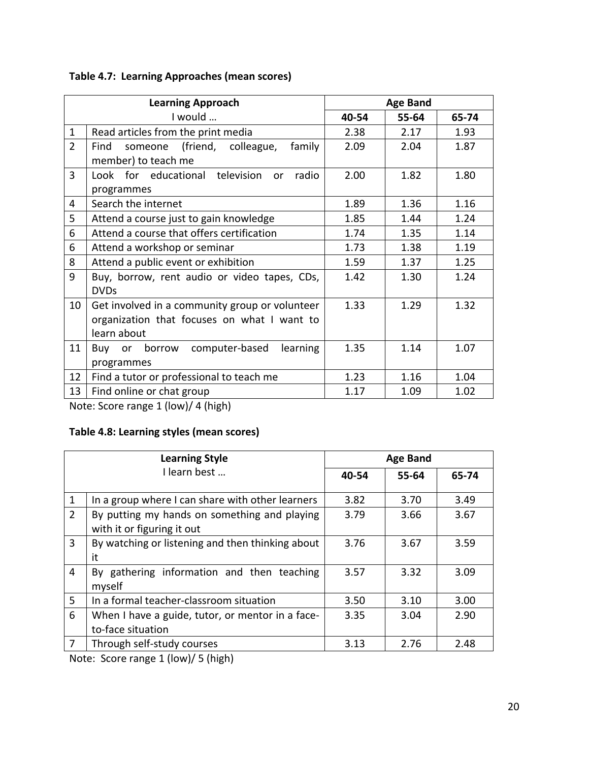|  | <b>Table 4.7: Learning Approaches (mean scores)</b> |  |
|--|-----------------------------------------------------|--|
|--|-----------------------------------------------------|--|

|                | <b>Learning Approach</b><br><b>Age Band</b>    |       |       |       |
|----------------|------------------------------------------------|-------|-------|-------|
| I would        |                                                | 40-54 | 55-64 | 65-74 |
| $\mathbf{1}$   | Read articles from the print media             | 2.38  | 2.17  | 1.93  |
| $\overline{2}$ | someone (friend, colleague,<br>family<br>Find  | 2.09  | 2.04  | 1.87  |
|                | member) to teach me                            |       |       |       |
| 3              | Look for educational television<br>radio<br>or | 2.00  | 1.82  | 1.80  |
|                | programmes                                     |       |       |       |
| 4              | Search the internet                            | 1.89  | 1.36  | 1.16  |
| 5              | Attend a course just to gain knowledge         | 1.85  | 1.44  | 1.24  |
| 6              | Attend a course that offers certification      | 1.74  | 1.35  | 1.14  |
| 6              | Attend a workshop or seminar                   | 1.73  | 1.38  | 1.19  |
| 8              | Attend a public event or exhibition            | 1.59  | 1.37  | 1.25  |
| 9              | Buy, borrow, rent audio or video tapes, CDs,   | 1.42  | 1.30  | 1.24  |
|                | <b>DVDs</b>                                    |       |       |       |
| 10             | Get involved in a community group or volunteer | 1.33  | 1.29  | 1.32  |
|                | organization that focuses on what I want to    |       |       |       |
|                | learn about                                    |       |       |       |
| 11             | borrow computer-based<br>learning<br>or<br>Buv | 1.35  | 1.14  | 1.07  |
|                | programmes                                     |       |       |       |
| 12             | Find a tutor or professional to teach me       | 1.23  | 1.16  | 1.04  |
| 13             | Find online or chat group                      | 1.17  | 1.09  | 1.02  |

Note: Score range 1 (low)/ 4 (high)

# **Table 4.8: Learning styles (mean scores)**

| <b>Learning Style</b> |                                                                            | <b>Age Band</b> |       |       |  |
|-----------------------|----------------------------------------------------------------------------|-----------------|-------|-------|--|
|                       | I learn best                                                               | 40-54           | 55-64 | 65-74 |  |
| 1                     | In a group where I can share with other learners                           | 3.82            | 3.70  | 3.49  |  |
| $\overline{2}$        | By putting my hands on something and playing<br>with it or figuring it out | 3.79            | 3.66  | 3.67  |  |
| 3                     | By watching or listening and then thinking about<br>it                     | 3.76            | 3.67  | 3.59  |  |
| 4                     | By gathering information and then teaching<br>myself                       | 3.57            | 3.32  | 3.09  |  |
| 5                     | In a formal teacher-classroom situation                                    | 3.50            | 3.10  | 3.00  |  |
| 6                     | When I have a guide, tutor, or mentor in a face-<br>to-face situation      | 3.35            | 3.04  | 2.90  |  |
| 7                     | Through self-study courses                                                 | 3.13            | 2.76  | 2.48  |  |

Note: Score range 1 (low)/ 5 (high)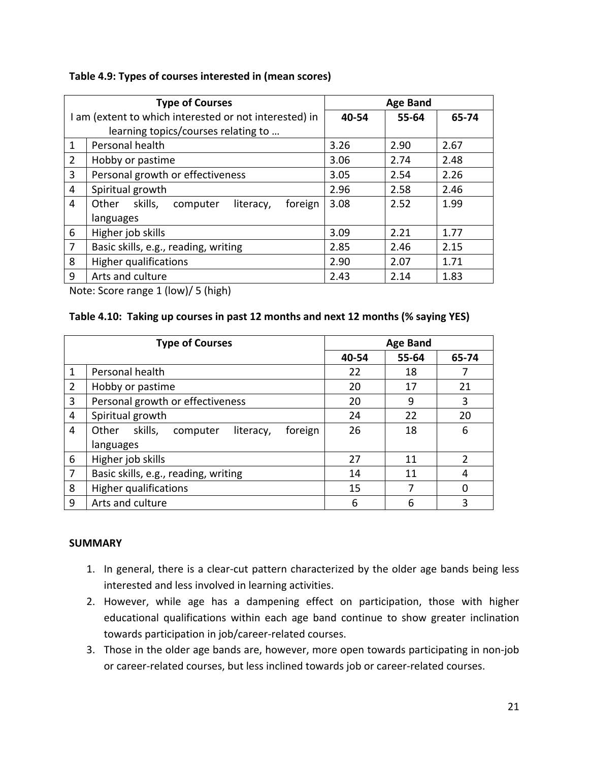| Table 4.9: Types of courses interested in (mean scores) |  |  |  |  |  |
|---------------------------------------------------------|--|--|--|--|--|
|---------------------------------------------------------|--|--|--|--|--|

| <b>Type of Courses</b>                                 |                                                      | <b>Age Band</b> |       |       |
|--------------------------------------------------------|------------------------------------------------------|-----------------|-------|-------|
| I am (extent to which interested or not interested) in |                                                      | 40-54           | 55-64 | 65-74 |
|                                                        | learning topics/courses relating to                  |                 |       |       |
| $\mathbf{1}$                                           | Personal health                                      | 3.26            | 2.90  | 2.67  |
| $\overline{2}$                                         | Hobby or pastime                                     | 3.06            | 2.74  | 2.48  |
| 3                                                      | Personal growth or effectiveness                     | 3.05            | 2.54  | 2.26  |
| 4                                                      | Spiritual growth                                     | 2.96            | 2.58  | 2.46  |
| 4                                                      | skills,<br>foreign<br>Other<br>literacy,<br>computer | 3.08            | 2.52  | 1.99  |
|                                                        | languages                                            |                 |       |       |
| 6                                                      | Higher job skills                                    | 3.09            | 2.21  | 1.77  |
| $\overline{7}$                                         | Basic skills, e.g., reading, writing                 | 2.85            | 2.46  | 2.15  |
| 8                                                      | <b>Higher qualifications</b>                         | 2.90            | 2.07  | 1.71  |
| 9                                                      | Arts and culture                                     | 2.43            | 2.14  | 1.83  |

Note: Score range 1 (low)/ 5 (high)

# **Table 4.10: Taking up courses in past 12 months and next 12 months (% saying YES)**

| <b>Type of Courses</b> |                                                      | <b>Age Band</b> |       |       |
|------------------------|------------------------------------------------------|-----------------|-------|-------|
|                        |                                                      | 40-54           | 55-64 | 65-74 |
| 1                      | Personal health                                      | 22              | 18    |       |
| 2                      | Hobby or pastime                                     | 20              | 17    | 21    |
| 3                      | Personal growth or effectiveness                     | 20              | 9     | 3     |
| 4                      | Spiritual growth                                     | 24              | 22    | 20    |
| 4                      | skills,<br>foreign<br>Other<br>computer<br>literacy, | 26              | 18    | 6     |
|                        | languages                                            |                 |       |       |
| 6                      | Higher job skills                                    | 27              | 11    | 2     |
| $\overline{7}$         | Basic skills, e.g., reading, writing                 | 14              | 11    | 4     |
| 8                      | Higher qualifications                                | 15              | 7     |       |
| 9                      | Arts and culture                                     | 6               | 6     | 3     |

# **SUMMARY**

- 1. In general, there is a clear‐cut pattern characterized by the older age bands being less interested and less involved in learning activities.
- 2. However, while age has a dampening effect on participation, those with higher educational qualifications within each age band continue to show greater inclination towards participation in job/career‐related courses.
- 3. Those in the older age bands are, however, more open towards participating in non‐job or career‐related courses, but less inclined towards job or career‐related courses.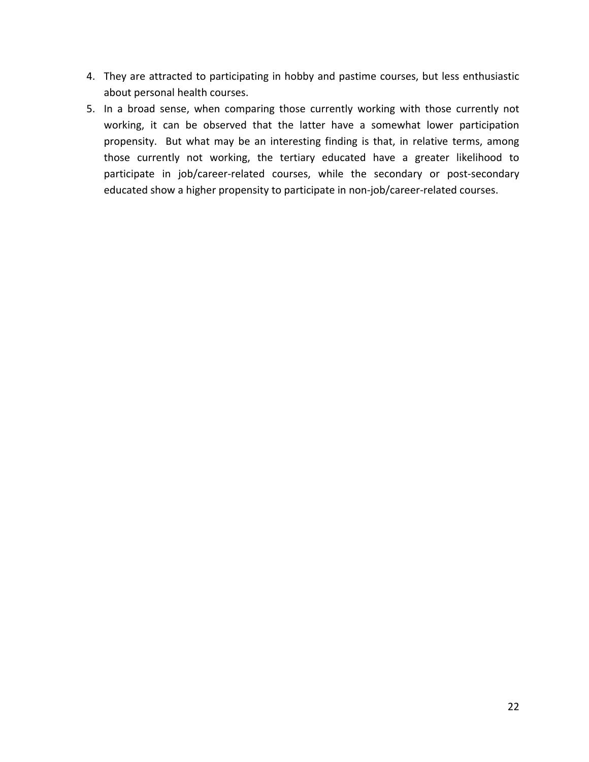- 4. They are attracted to participating in hobby and pastime courses, but less enthusiastic about personal health courses.
- 5. In a broad sense, when comparing those currently working with those currently not working, it can be observed that the latter have a somewhat lower participation propensity. But what may be an interesting finding is that, in relative terms, among those currently not working, the tertiary educated have a greater likelihood to participate in job/career-related courses, while the secondary or post-secondary educated show a higher propensity to participate in non‐job/career‐related courses.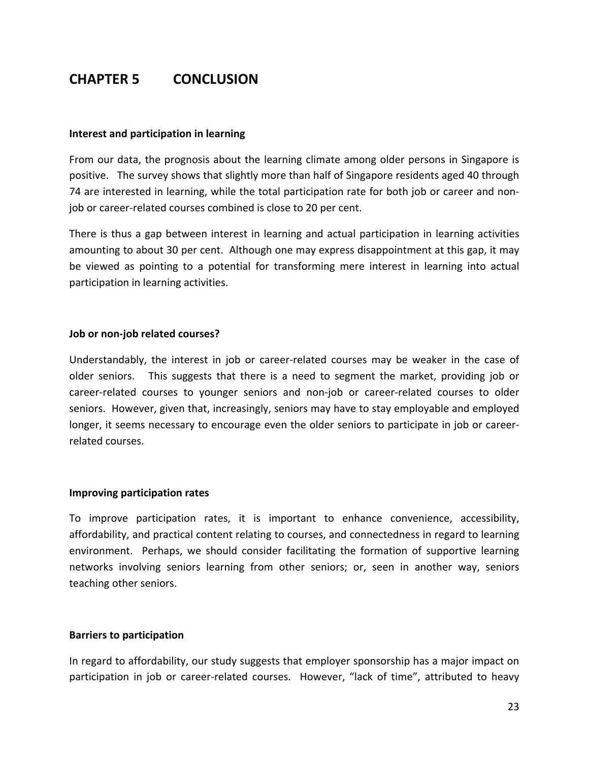# **CHAPTER 5 CONCLUSION**

#### **Interest and participation in learning**

From our data, the prognosis about the learning climate among older persons in Singapore is positive. The survey shows that slightly more than half of Singapore residents aged 40 through 74 are interested in learning, while the total participation rate for both job or career and non‐ job or career‐related courses combined is close to 20 per cent.

There is thus a gap between interest in learning and actual participation in learning activities amounting to about 30 per cent. Although one may express disappointment at this gap, it may be viewed as pointing to a potential for transforming mere interest in learning into actual participation in learning activities.

## **Job or non‐job related courses?**

Understandably, the interest in job or career‐related courses may be weaker in the case of older seniors. This suggests that there is a need to segment the market, providing job or career-related courses to younger seniors and non-job or career-related courses to older seniors. However, given that, increasingly, seniors may have to stay employable and employed longer, it seems necessary to encourage even the older seniors to participate in job or career‐ related courses.

#### **Improving participation rates**

To improve participation rates, it is important to enhance convenience, accessibility, affordability, and practical content relating to courses, and connectedness in regard to learning environment. Perhaps, we should consider facilitating the formation of supportive learning networks involving seniors learning from other seniors; or, seen in another way, seniors teaching other seniors.

## **Barriers to participation**

In regard to affordability, our study suggests that employer sponsorship has a major impact on participation in job or career-related courses. However, "lack of time", attributed to heavy